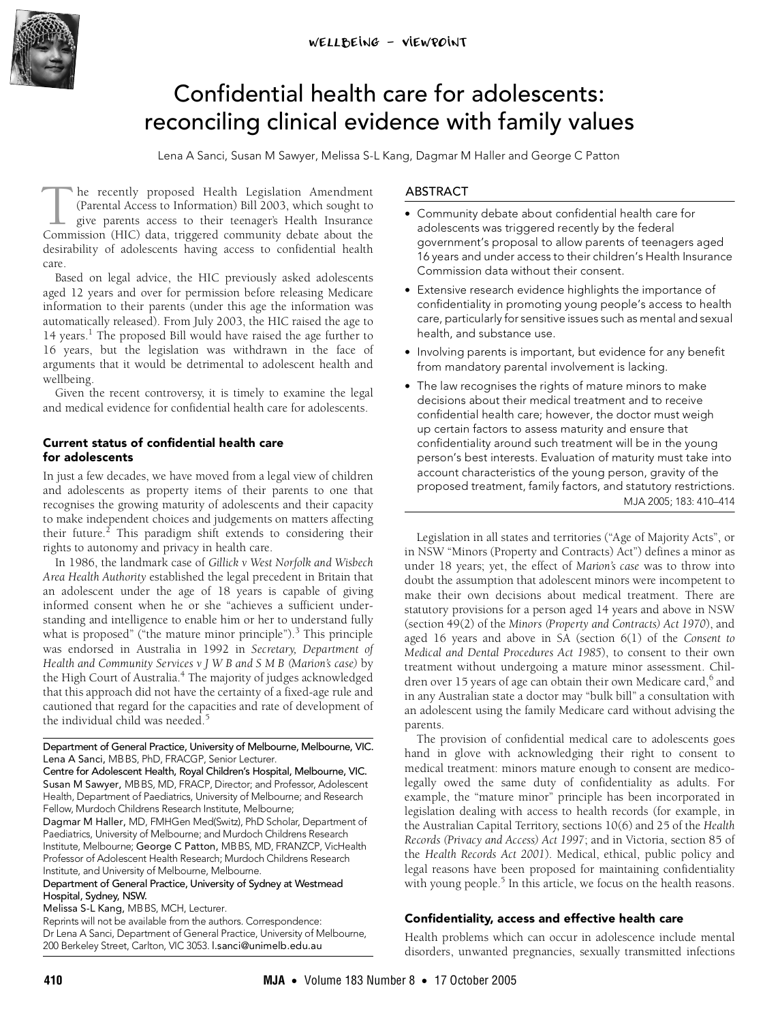<span id="page-0-0"></span>

# Confidential health care for adolescents: reconciling clinical evidence with family values

Lena A Sanci, Susan M Sawyer, Melissa S-L Kang, Dagmar M Haller and George C Patton

he recently proposed Health Legislation Amendment (Parental Access to Information) Bill 2003, which sought to give parents access to their teenager's Health Insurance The recently proposed Health Legislation Amendment (Parental Access to Information) Bill 2003, which sought to give parents access to their teenager's Health Insurance Commission (HIC) data, triggered community debate abou desirability of adolescents having access to confidential health care.

aged 12 years and over for permission before releasing Medicare  $\frac{1}{2}$  and  $\frac{1}{2}$  of the  $\frac{1}{2}$  and  $\frac{1}{2}$  and  $\frac{1}{2}$  and  $\frac{1}{2}$  and  $\frac{1}{2}$  and  $\frac{1}{2}$  and  $\frac{1}{2}$  and  $\frac{1}{2}$  and  $\frac{1}{2}$  and  $\frac{1}{2}$  and  $\frac{1}{2}$  and  $\frac{1}{2}$  and  $\frac{1}{2}$  and  $\frac{1}{2}$ automatically released). From July 2003, the HIC raised the age to 14 years.<sup>1</sup> The proposed Bill would have raised the age further to 16 years, but the legislation was withdrawn in the face of Based on legal advice, the HIC previously asked adolescents information to their parents (un[der t](#page-0-0)[his](#page-4-6) age the information was 16 years, but the legislation was withdrawn in the face of arguments that it would be detrimental to adolescent health and wellbeing.

Given the recent controversy, it is timely to examine the legal and medical evidence for confidential health care for adolescents.

# **Current status of confidential health care for adolescents**

In just a few decades, we have moved from a legal view of children and adolescents as property items of their parents to one that recognises the growing maturity of adolescents and their capacity to make independent choices and judgements on matters affecting their future.<sup>[2](#page-4-1)</sup> This paradigm shift extends to considering their rights to autonomy and privacy in health care.

In 1986, the landmark case of *Gillick v West Norfolk and Wisbech Area Health Authority* established the legal precedent in Britain that an adolescent under the age of 18 years is capable of giving informed consent when he or she "achieves a sufficient understanding and intelligence to enable him or her to understand fully what is proposed" ("the mature minor principle").<sup>[3](#page-4-2)</sup> This principle was endorsed in Australia in 1992 in *Secretary, Department of Health and Community Services v J W B and S M B (Marion's case)* by the High Court of Australia.<sup>[4](#page-4-3)</sup> The majority of judges acknowledged that this approach did not have the certainty of a fixed-age rule and cautioned that regard for the capacities and rate of development of the individual child was needed.<sup>[5](#page-4-4)</sup>

Department of General Practice, University of Melbourne, Melbourne, VIC. Lena A Sanci, MBBS, PhD, FRACGP, Senior Lecturer.

Centre for Adolescent Health, Royal Children's Hospital, Melbourne, VIC. Susan M Sawyer, MBBS, MD, FRACP, Director; and Professor, Adolescent Health, Department of Paediatrics, University of Melbourne; and Research Fellow, Murdoch Childrens Research Institute, Melbourne;

Dagmar M Haller, MD, FMHGen Med(Switz), PhD Scholar, Department of Paediatrics, University of Melbourne; and Murdoch Childrens Research Institute, Melbourne; George C Patton, MBBS, MD, FRANZCP, VicHealth Professor of Adolescent Health Research; Murdoch Childrens Research Institute, and University of Melbourne, Melbourne.

Department of General Practice, University of Sydney at Westmead Hospital, Sydney, NSW.

Melissa S-L Kang, MBBS, MCH, Lecturer.

Reprints will not be available from the authors. Correspondence: Dr Lena A Sanci, Department of General Practice, University of Melbourne, 200 Berkeley Street, Carlton, VIC 3053. l.sanci@unimelb.edu.au

# ABSTRACT

- **•** Community debate about confidential health care for adolescents was triggered recently by the federal government's proposal to allow parents of teenagers aged 16 years and under access to their children's Health Insurance Commission data without their consent.
- **•** Extensive research evidence highlights the importance of confidentiality in promoting young people's access to health care, particularly for sensitive issues such as mental and sexual health, and substance use.
- **•** Involving parents is important, but evidence for any benefit from mandatory parental involvement is lacking.
- **•** The law recognises the rights of mature minors to make decisions about their medical treatment and to receive confidential health care; however, the doctor must weigh up certain factors to assess maturity and ensure that confidentiality around such treatment will be in the young person's best interests. Evaluation of maturity must take into account characteristics of the young person, gravity of the MJA 2005; 183: 410–414 proposed treatment, family factors, and statutory restrictions.

Legislation in all states and territories ("Age of Majority Acts", or in NSW "Minors (Property and Contracts) Act") defines a minor as under 18 years; yet, the effect of *Marion's case* was to throw into doubt the assumption that adolescent minors were incompetent to make their own decisions about medical treatment. There are statutory provisions for a person aged 14 years and above in NSW (section 49(2) of the *Minors (Property and Contracts) Act 1970*), and aged 16 years and above in SA (section 6(1) of the *Consent to Medical and Dental Procedures Act 1985*), to consent to their own treatment without undergoing a mature minor assessment. Chil-dren over 15 years of age can obtain their own Medicare card,<sup>[6](#page-4-5)</sup> and in any Australian state a doctor may "bulk bill" a consultation with an adolescent using the family Medicare card without advising the parents.

The provision of confidential medical care to adolescents goes hand in glove with acknowledging their right to consent to medical treatment: minors mature enough to consent are medicolegally owed the same duty of confidentiality as adults. For example, the "mature minor" principle has been incorporated in legislation dealing with access to health records (for example, in the Australian Capital Territory, sections 10(6) and 25 of the *Health Records (Privacy and Access) Act 1997*; and in Victoria, section 85 of the *Health Records Act 2001*). Medical, ethical, public policy and legal reasons have been proposed for maintaining confidentiality with young people.<sup>5</sup> In this article, we focus on the health reasons.

# **Confidentiality, access and effective health care**

Health problems which can occur in adolescence include mental disorders, unwanted pregnancies, sexually transmitted infections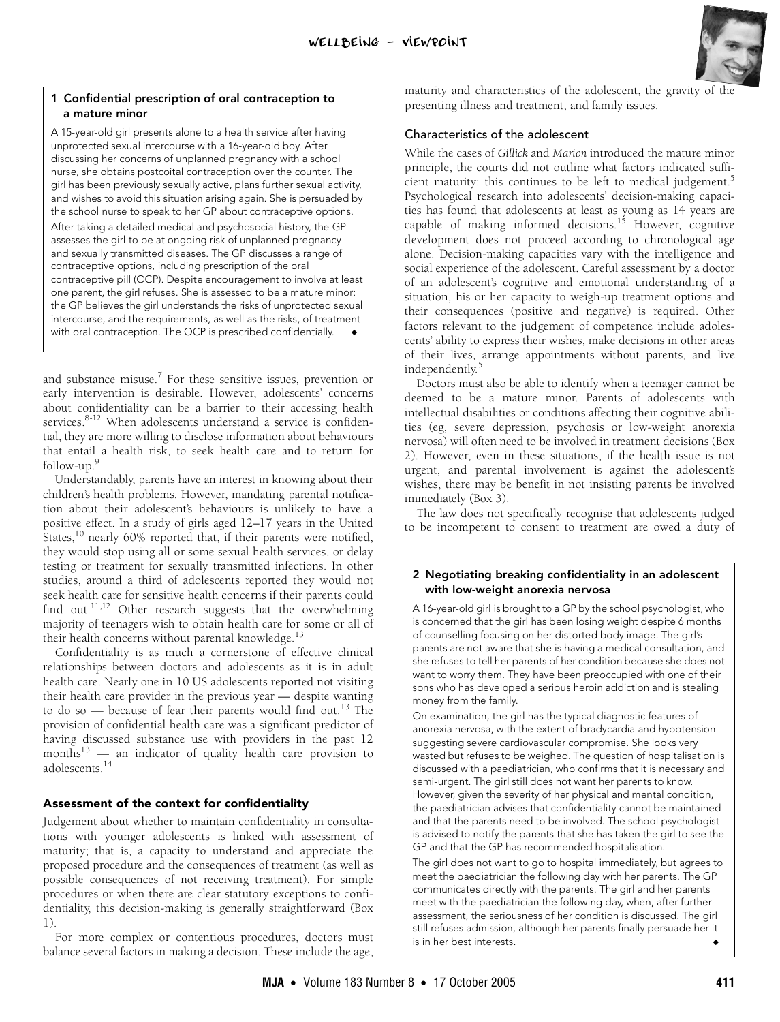

#### <span id="page-1-0"></span>**1 Confidential prescription of oral contraception to a mature minor**

A 15-year-old girl presents alone to a health service after having unprotected sexual intercourse with a 16-year-old boy. After discussing her concerns of unplanned pregnancy with a school nurse, she obtains postcoital contraception over the counter. The girl has been previously sexually active, plans further sexual activity, and wishes to avoid this situation arising again. She is persuaded by the school nurse to speak to her GP about contraceptive options. After taking a detailed medical and psychosocial history, the GP assesses the girl to be at ongoing risk of unplanned pregnancy and sexually transmitted diseases. The GP discusses a range of contraceptive options, including prescription of the oral contraceptive pill (OCP). Despite encouragement to involve at least one parent, the girl refuses. She is assessed to be a mature minor: the GP believes the girl understands the risks of unprotected sexual intercourse, and the requirements, as well as the risks, of treatment with oral contraception. The OCP is prescribed confidentially.

and substance misuse. $7$  For these sensitive issues, prevention or early intervention is desirable. However, adolescents' concerns about confidentiality can be a barrier to their accessing health services.<sup>[8](#page-4-8)-[12](#page-4-9)</sup> When adolescents understand a service is confidential, they are more willing to disclose information about behaviours that entail a health risk, to seek health care and to return for follow-up[.9](#page-4-10)

Understandably, parents have an interest in knowing about their children's health problems. However, mandating parental notification about their adolescent's behaviours is unlikely to have a positive effect. In a study of girls aged 12–17 years in the United States[,10](#page-4-11) nearly 60% reported that, if their parents were notified, they would stop using all or some sexual health services, or delay testing or treatment for sexually transmitted infections. In other studies, around a third of adolescents reported they would not seek health care for sensitive health concerns if their parents could find out.<sup>11,[12](#page-4-9)</sup> Other research suggests that the overwhelming majority of teenagers wish to obtain health care for some or all of their health concerns without parental knowledge. $^{13}$  $^{13}$  $^{13}$ 

Confidentiality is as much a cornerstone of effective clinical relationships between doctors and adolescents as it is in adult health care. Nearly one in 10 US adolescents reported not visiting their health care provider in the previous year — despite wanting to do so  $-$  because of fear their parents would find out.<sup>13</sup> The provision of confidential health care was a significant predictor of having discussed substance use with providers in the past 12 months $13$  — an indicator of quality health care provision to adolescents.[14](#page-4-14)

# **Assessment of the context for confidentiality**

Judgement about whether to maintain confidentiality in consultations with younger adolescents is linked with assessment of maturity; that is, a capacity to understand and appreciate the proposed procedure and the consequences of treatment (as well as possible consequences of not receiving treatment). For simple procedures or when there are clear statutory exceptions to confidentiality, this decision-making is generally straightforward [\(Box](#page-1-0) [1\)](#page-1-0).

For more complex or contentious procedures, doctors must balance several factors in making a decision. These include the age, maturity and characteristics of the adolescent, the gravity of the presenting illness and treatment, and family issues.

# Characteristics of the adolescent

While the cases of *Gillick* and *Marion* introduced the mature minor principle, the courts did not outline what factors indicated suffi-cient maturity: this continues to be left to medical judgement.<sup>[5](#page-4-4)</sup> Psychological research into adolescents' decision-making capacities has found that adolescents at least as young as 14 years are capable of making informed decisions.<sup>15</sup> However, cognitive development does not proceed according to chronological age alone. Decision-making capacities vary with the intelligence and social experience of the adolescent. Careful assessment by a doctor of an adolescent's cognitive and emotional understanding of a situation, his or her capacity to weigh-up treatment options and their consequences (positive and negative) is required. Other factors relevant to the judgement of competence include adolescents' ability to express their wishes, make decisions in other areas of their lives, arrange appointments without parents, and live independently.<sup>[5](#page-4-4)</sup>

Doctors must also be able to identify when a teenager cannot be deemed to be a mature minor. Parents of adolescents with intellectual disabilities or conditions affecting their cognitive abilities (eg, severe depression, psychosis or low-weight anorexia nervosa) will often need to be involved in treatment decisions [\(Box](#page-1-1) [2\)](#page-1-1). However, even in these situations, if the health issue is not urgent, and parental involvement is against the adolescent's wishes, there may be benefit in not insisting parents be involved immediately [\(Box 3](#page-2-0)).

The law does not specifically recognise that adolescents judged to be incompetent to consent to treatment are owed a duty of

# <span id="page-1-1"></span>**2 Negotiating breaking confidentiality in an adolescent with low-weight anorexia nervosa**

A 16-year-old girl is brought to a GP by the school psychologist, who is concerned that the girl has been losing weight despite 6 months of counselling focusing on her distorted body image. The girl's parents are not aware that she is having a medical consultation, and she refuses to tell her parents of her condition because she does not want to worry them. They have been preoccupied with one of their sons who has developed a serious heroin addiction and is stealing money from the family.

On examination, the girl has the typical diagnostic features of anorexia nervosa, with the extent of bradycardia and hypotension suggesting severe cardiovascular compromise. She looks very wasted but refuses to be weighed. The question of hospitalisation is discussed with a paediatrician, who confirms that it is necessary and semi-urgent. The girl still does not want her parents to know. However, given the severity of her physical and mental condition, the paediatrician advises that confidentiality cannot be maintained and that the parents need to be involved. The school psychologist is advised to notify the parents that she has taken the girl to see the GP and that the GP has recommended hospitalisation.

The girl does not want to go to hospital immediately, but agrees to meet the paediatrician the following day with her parents. The GP communicates directly with the parents. The girl and her parents meet with the paediatrician the following day, when, after further assessment, the seriousness of her condition is discussed. The girl still refuses admission, although her parents finally persuade her it is in her best interests.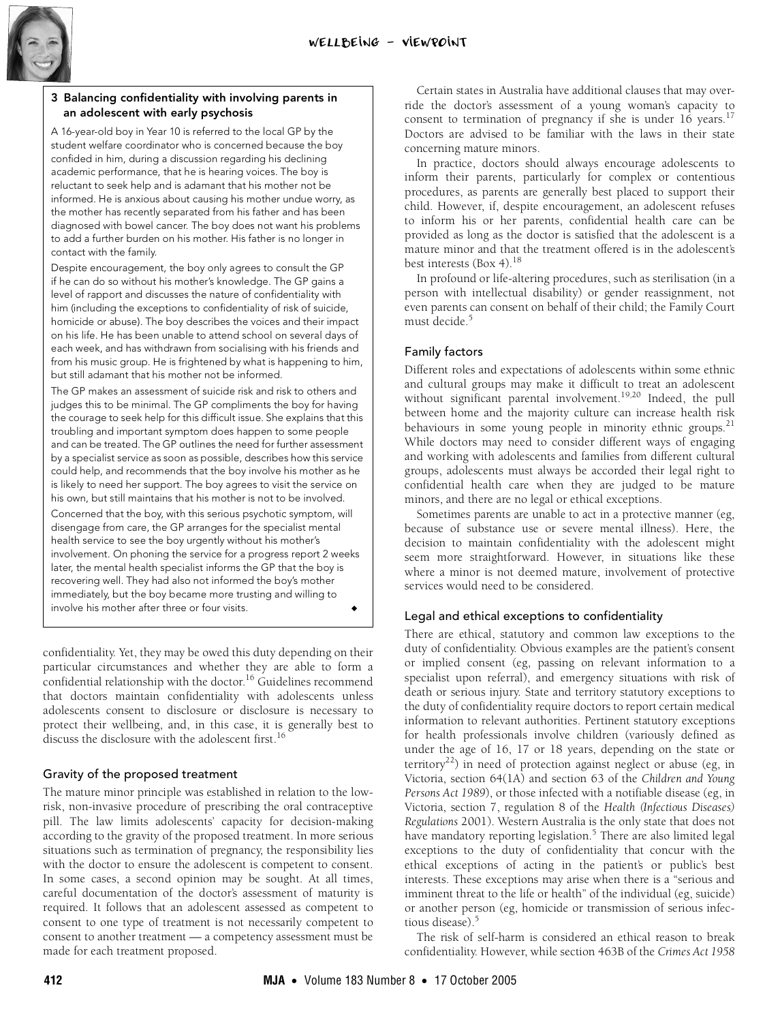

## <span id="page-2-0"></span>**3 Balancing confidentiality with involving parents in an adolescent with early psychosis**

A 16-year-old boy in Year 10 is referred to the local GP by the student welfare coordinator who is concerned because the boy confided in him, during a discussion regarding his declining academic performance, that he is hearing voices. The boy is reluctant to seek help and is adamant that his mother not be informed. He is anxious about causing his mother undue worry, as the mother has recently separated from his father and has been diagnosed with bowel cancer. The boy does not want his problems to add a further burden on his mother. His father is no longer in contact with the family.

Despite encouragement, the boy only agrees to consult the GP if he can do so without his mother's knowledge. The GP gains a level of rapport and discusses the nature of confidentiality with him (including the exceptions to confidentiality of risk of suicide, homicide or abuse). The boy describes the voices and their impact on his life. He has been unable to attend school on several days of each week, and has withdrawn from socialising with his friends and from his music group. He is frightened by what is happening to him, but still adamant that his mother not be informed.

The GP makes an assessment of suicide risk and risk to others and judges this to be minimal. The GP compliments the boy for having the courage to seek help for this difficult issue. She explains that this troubling and important symptom does happen to some people and can be treated. The GP outlines the need for further assessment by a specialist service as soon as possible, describes how this service could help, and recommends that the boy involve his mother as he is likely to need her support. The boy agrees to visit the service on his own, but still maintains that his mother is not to be involved.

Concerned that the boy, with this serious psychotic symptom, will disengage from care, the GP arranges for the specialist mental health service to see the boy urgently without his mother's involvement. On phoning the service for a progress report 2 weeks later, the mental health specialist informs the GP that the boy is recovering well. They had also not informed the boy's mother immediately, but the boy became more trusting and willing to involve his mother after three or four visits.

confidentiality. Yet, they may be owed this duty depending on their particular circumstances and whether they are able to form a particular circumstances and methods and  $\frac{16}{16}$  Guidelines recommend that doctors maintain confidentiality with adolescents unless adolescents consent to disclosure or disclosure is necessary to protect their wellbeing, and, in this case, it is generally best to discuss the disclosure with the adolescent first.<sup>16</sup>

# Gravity of the proposed treatment

The mature minor principle was established in relation to the lowrisk, non-invasive procedure of prescribing the oral contraceptive pill. The law limits adolescents' capacity for decision-making according to the gravity of the proposed treatment. In more serious situations such as termination of pregnancy, the responsibility lies with the doctor to ensure the adolescent is competent to consent. In some cases, a second opinion may be sought. At all times, careful documentation of the doctor's assessment of maturity is required. It follows that an adolescent assessed as competent to consent to one type of treatment is not necessarily competent to consent to another treatment — a competency assessment must be made for each treatment proposed.

Certain states in Australia have additional clauses that may override the doctor's assessment of a young woman's capacity to consent to termination of pregnancy if she is under 16 years.<sup>[17](#page-4-17)</sup> Doctors are advised to be familiar with the laws in their state concerning mature minors.

In practice, doctors should always encourage adolescents to inform their parents, particularly for complex or contentious procedures, as parents are generally best placed to support their child. However, if, despite encouragement, an adolescent refuses to inform his or her parents, confidential health care can be provided as long as the doctor is satisfied that the adolescent is a mature minor and that the treatment offered is in the adolescent's best interests  $(Box 4).$  $(Box 4).$  $(Box 4).$ <sup>18</sup>

In profound or life-altering procedures, such as sterilisation (in a person with intellectual disability) or gender reassignment, not even parents can consent on behalf of their child; the Family Court must decide.<sup>[5](#page-4-4)</sup>

# Family factors

Different roles and expectations of adolescents within some ethnic and cultural groups may make it difficult to treat an adolescent without significant parental involvement.<sup>[19](#page-4-19)[,20](#page-4-20)</sup> Indeed, the pull between home and the majority culture can increase health risk behaviours in some young people in minority ethnic groups.<sup>[21](#page-4-21)</sup> While doctors may need to consider different ways of engaging and working with adolescents and families from different cultural groups, adolescents must always be accorded their legal right to confidential health care when they are judged to be mature minors, and there are no legal or ethical exceptions.

Sometimes parents are unable to act in a protective manner (eg, because of substance use or severe mental illness). Here, the decision to maintain confidentiality with the adolescent might seem more straightforward. However, in situations like these where a minor is not deemed mature, involvement of protective services would need to be considered.

# Legal and ethical exceptions to confidentiality

There are ethical, statutory and common law exceptions to the duty of confidentiality. Obvious examples are the patient's consent or implied consent (eg, passing on relevant information to a specialist upon referral), and emergency situations with risk of death or serious injury. State and territory statutory exceptions to the duty of confidentiality require doctors to report certain medical information to relevant authorities. Pertinent statutory exceptions for health professionals involve children (variously defined as under the age of 16, 17 or 18 years, depending on the state or territory<sup>[22](#page-4-22)</sup>) in need of protection against neglect or abuse (eg, in Victoria, section 64(1A) and section 63 of the *Children and Young Persons Act 1989*), or those infected with a notifiable disease (eg, in Victoria, section 7, regulation 8 of the *Health (Infectious Diseases) Regulations* 2001). Western Australia is the only state that does not have mandatory reporting legislation.<sup>[5](#page-4-4)</sup> There are also limited legal exceptions to the duty of confidentiality that concur with the ethical exceptions of acting in the patient's or public's best interests. These exceptions may arise when there is a "serious and imminent threat to the life or health" of the individual (eg, suicide) or another person (eg, homicide or transmission of serious infectious disease).<sup>5</sup>

The risk of self-harm is considered an ethical reason to break confidentiality. However, while section 463B of the *Crimes Act 1958*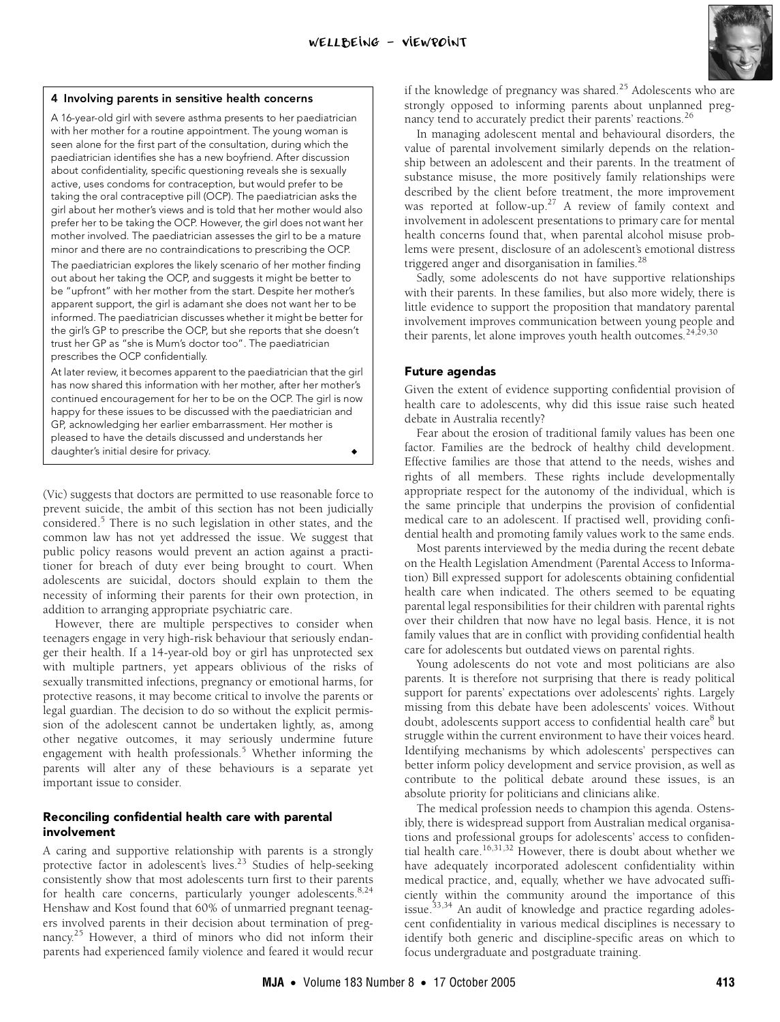

#### <span id="page-3-0"></span>**4 Involving parents in sensitive health concerns**

A 16-year-old girl with severe asthma presents to her paediatrician with her mother for a routine appointment. The young woman is seen alone for the first part of the consultation, during which the paediatrician identifies she has a new boyfriend. After discussion about confidentiality, specific questioning reveals she is sexually active, uses condoms for contraception, but would prefer to be taking the oral contraceptive pill (OCP). The paediatrician asks the girl about her mother's views and is told that her mother would also prefer her to be taking the OCP. However, the girl does not want her mother involved. The paediatrician assesses the girl to be a mature minor and there are no contraindications to prescribing the OCP.

The paediatrician explores the likely scenario of her mother finding out about her taking the OCP, and suggests it might be better to be "upfront" with her mother from the start. Despite her mother's apparent support, the girl is adamant she does not want her to be informed. The paediatrician discusses whether it might be better for the girl's GP to prescribe the OCP, but she reports that she doesn't trust her GP as "she is Mum's doctor too". The paediatrician prescribes the OCP confidentially.

At later review, it becomes apparent to the paediatrician that the girl has now shared this information with her mother, after her mother's continued encouragement for her to be on the OCP. The girl is now happy for these issues to be discussed with the paediatrician and GP, acknowledging her earlier embarrassment. Her mother is pleased to have the details discussed and understands her daughter's initial desire for privacy. ◆ ◆

(Vic) suggests that doctors are permitted to use reasonable force to prevent suicide, the ambit of this section has not been judicially considered.<sup>[5](#page-4-4)</sup> There is no such legislation in other states, and the common law has not yet addressed the issue. We suggest that public policy reasons would prevent an action against a practitioner for breach of duty ever being brought to court. When adolescents are suicidal, doctors should explain to them the necessity of informing their parents for their own protection, in addition to arranging appropriate psychiatric care.

However, there are multiple perspectives to consider when teenagers engage in very high-risk behaviour that seriously endanger their health. If a 14-year-old boy or girl has unprotected sex with multiple partners, yet appears oblivious of the risks of sexually transmitted infections, pregnancy or emotional harms, for protective reasons, it may become critical to involve the parents or legal guardian. The decision to do so without the explicit permission of the adolescent cannot be undertaken lightly, as, among other negative outcomes, it may seriously undermine future engagement with health professionals.<sup>[5](#page-4-4)</sup> Whether informing the parents will alter any of these behaviours is a separate yet important issue to consider.

## **Reconciling confidential health care with parental involvement**

A caring and supportive relationship with parents is a strongly protective factor in adolescent's lives.<sup>23</sup> Studies of help-seeking consistently show that most adolescents turn first to their parents for health care concerns, particularly younger adolescents.<sup>[8](#page-4-8),[24](#page-4-24)</sup> Henshaw and Kost found that 60% of unmarried pregnant teenagers involved parents in their decision about termination of pregnancy.<sup>25</sup> However, a third of minors who did not inform their parents had experienced family violence and feared it would recur

if the knowledge of pregnancy was shared.<sup>25</sup> Adolescents who are strongly opposed to informing parents about unplanned preg-nancy tend to accurately predict their parents' reactions.<sup>[26](#page-4-26)</sup>

In managing adolescent mental and behavioural disorders, the value of parental involvement similarly depends on the relationship between an adolescent and their parents. In the treatment of substance misuse, the more positively family relationships were described by the client before treatment, the more improvement was reported at follow-up.<sup>27</sup> A review of family context and involvement in adolescent presentations to primary care for mental health concerns found that, when parental alcohol misuse problems were present, disclosure of an adolescent's emotional distress triggered anger and disorganisation in families.<sup>[28](#page-4-28)</sup>

Sadly, some adolescents do not have supportive relationships with their parents. In these families, but also more widely, there is little evidence to support the proposition that mandatory parental involvement improves communication between young people and their parents, let alone improves youth health outcomes.<sup>[24](#page-4-24)[,29](#page-4-29),[30](#page-4-30)</sup>

#### **Future agendas**

Given the extent of evidence supporting confidential provision of health care to adolescents, why did this issue raise such heated debate in Australia recently?

Fear about the erosion of traditional family values has been one factor. Families are the bedrock of healthy child development. Effective families are those that attend to the needs, wishes and rights of all members. These rights include developmentally appropriate respect for the autonomy of the individual, which is the same principle that underpins the provision of confidential medical care to an adolescent. If practised well, providing confidential health and promoting family values work to the same ends.

Most parents interviewed by the media during the recent debate on the Health Legislation Amendment (Parental Access to Information) Bill expressed support for adolescents obtaining confidential health care when indicated. The others seemed to be equating parental legal responsibilities for their children with parental rights over their children that now have no legal basis. Hence, it is not family values that are in conflict with providing confidential health care for adolescents but outdated views on parental rights.

Young adolescents do not vote and most politicians are also parents. It is therefore not surprising that there is ready political support for parents' expectations over adolescents' rights. Largely missing from this debate have been adolescents' voices. Without doubt, adolescents support access to confidential health care<sup>[8](#page-4-8)</sup> but struggle within the current environment to have their voices heard. Identifying mechanisms by which adolescents' perspectives can better inform policy development and service provision, as well as contribute to the political debate around these issues, is an absolute priority for politicians and clinicians alike.

The medical profession needs to champion this agenda. Ostensibly, there is widespread support from Australian medical organisations and professional groups for adolescents' access to confiden-tial health care.<sup>16,[31](#page-4-31)[,32](#page-4-32)</sup> However, there is doubt about whether we have adequately incorporated adolescent confidentiality within medical practice, and, equally, whether we have advocated sufficiently within the community around the importance of this issue.<sup>33,34</sup> An audit of knowledge and practice regarding adolescent confidentiality in various medical disciplines is necessary to identify both generic and discipline-specific areas on which to focus undergraduate and postgraduate training.